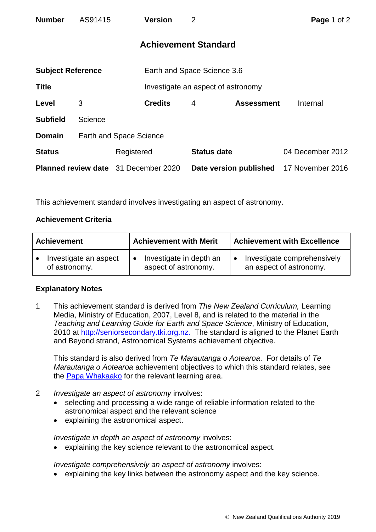| <b>Number</b>                               | AS91415                 | <b>Version</b> | $\overline{2}$              |                                    | Page 1 of 2      |  |  |
|---------------------------------------------|-------------------------|----------------|-----------------------------|------------------------------------|------------------|--|--|
| <b>Achievement Standard</b>                 |                         |                |                             |                                    |                  |  |  |
| <b>Subject Reference</b>                    |                         |                | Earth and Space Science 3.6 |                                    |                  |  |  |
| <b>Title</b>                                |                         |                |                             | Investigate an aspect of astronomy |                  |  |  |
| Level                                       | 3                       | <b>Credits</b> | 4                           | <b>Assessment</b>                  | Internal         |  |  |
| <b>Subfield</b>                             | Science                 |                |                             |                                    |                  |  |  |
| <b>Domain</b>                               | Earth and Space Science |                |                             |                                    |                  |  |  |
| <b>Status</b>                               |                         | Registered     |                             | <b>Status date</b>                 | 04 December 2012 |  |  |
| <b>Planned review date</b> 31 December 2020 |                         |                |                             | Date version published             | 17 November 2016 |  |  |

This achievement standard involves investigating an aspect of astronomy.

## **Achievement Criteria**

| <b>Achievement</b>    | <b>Achievement with Merit</b> | <b>Achievement with Excellence</b> |  |
|-----------------------|-------------------------------|------------------------------------|--|
| Investigate an aspect | Investigate in depth an       | Investigate comprehensively        |  |
| of astronomy.         | aspect of astronomy.          | an aspect of astronomy.            |  |

## **Explanatory Notes**

1 This achievement standard is derived from *The New Zealand Curriculum,* Learning Media, Ministry of Education, 2007, Level 8, and is related to the material in the *Teaching and Learning Guide for Earth and Space Science*, Ministry of Education, 2010 at [http://seniorsecondary.tki.org.nz.](http://seniorsecondary.tki.org.nz/) The standard is aligned to the Planet Earth and Beyond strand, Astronomical Systems achievement objective.

This standard is also derived from *Te Marautanga o Aotearoa*. For details of *Te Marautanga o Aotearoa* achievement objectives to which this standard relates, see the [Papa Whakaako](http://tmoa.tki.org.nz/Te-Marautanga-o-Aotearoa/Taumata-Matauranga-a-Motu-Ka-Taea) for the relevant learning area.

- 2 *Investigate an aspect of astronomy* involves:
	- selecting and processing a wide range of reliable information related to the astronomical aspect and the relevant science
	- explaining the astronomical aspect.

*Investigate in depth an aspect of astronomy* involves:

explaining the key science relevant to the astronomical aspect.

*Investigate comprehensively an aspect of astronomy* involves:

explaining the key links between the astronomy aspect and the key science.